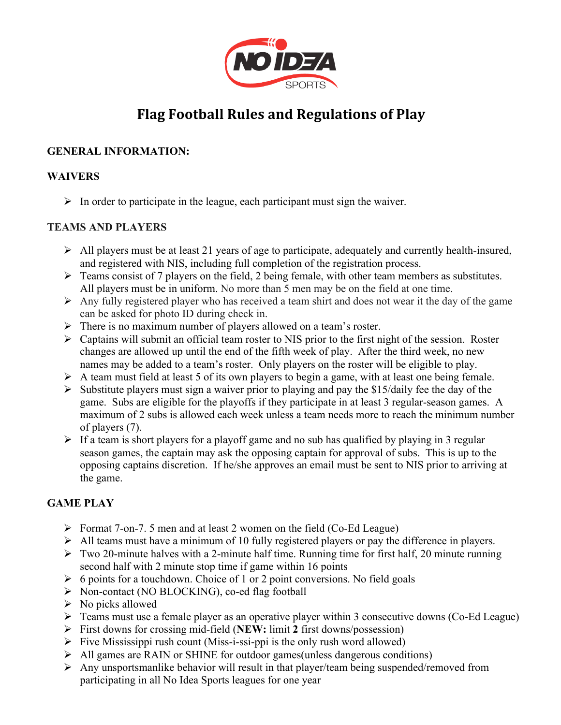

# **Flag Football Rules and Regulations of Play**

# **GENERAL INFORMATION:**

#### **WAIVERS**

 $\triangleright$  In order to participate in the league, each participant must sign the waiver.

## **TEAMS AND PLAYERS**

- $\triangleright$  All players must be at least 21 years of age to participate, adequately and currently health-insured, and registered with NIS, including full completion of the registration process.
- $\triangleright$  Teams consist of 7 players on the field, 2 being female, with other team members as substitutes. All players must be in uniform. No more than 5 men may be on the field at one time.
- $\triangleright$  Any fully registered player who has received a team shirt and does not wear it the day of the game can be asked for photo ID during check in.
- $\triangleright$  There is no maximum number of players allowed on a team's roster.
- $\triangleright$  Captains will submit an official team roster to NIS prior to the first night of the session. Roster changes are allowed up until the end of the fifth week of play. After the third week, no new names may be added to a team's roster. Only players on the roster will be eligible to play.
- $\triangleright$  A team must field at least 5 of its own players to begin a game, with at least one being female.
- $\triangleright$  Substitute players must sign a waiver prior to playing and pay the \$15/daily fee the day of the game. Subs are eligible for the playoffs if they participate in at least 3 regular-season games. A maximum of 2 subs is allowed each week unless a team needs more to reach the minimum number of players (7).
- $\triangleright$  If a team is short players for a playoff game and no sub has qualified by playing in 3 regular season games, the captain may ask the opposing captain for approval of subs. This is up to the opposing captains discretion. If he/she approves an email must be sent to NIS prior to arriving at the game.

# **GAME PLAY**

- Ø Format 7-on-7. 5 men and at least 2 women on the field (Co-Ed League)
- $\triangleright$  All teams must have a minimum of 10 fully registered players or pay the difference in players.
- $\triangleright$  Two 20-minute halves with a 2-minute half time. Running time for first half, 20 minute running second half with 2 minute stop time if game within 16 points
- $\triangleright$  6 points for a touchdown. Choice of 1 or 2 point conversions. No field goals
- Ø Non-contact (NO BLOCKING), co-ed flag football
- $\triangleright$  No picks allowed
- $\triangleright$  Teams must use a female player as an operative player within 3 consecutive downs (Co-Ed League)
- Ø First downs for crossing mid-field (**NEW:** limit **2** first downs/possession)
- $\triangleright$  Five Mississippi rush count (Miss-i-ssi-ppi is the only rush word allowed)
- Ø All games are RAIN or SHINE for outdoor games(unless dangerous conditions)
- $\triangleright$  Any unsportsmanlike behavior will result in that player/team being suspended/removed from participating in all No Idea Sports leagues for one year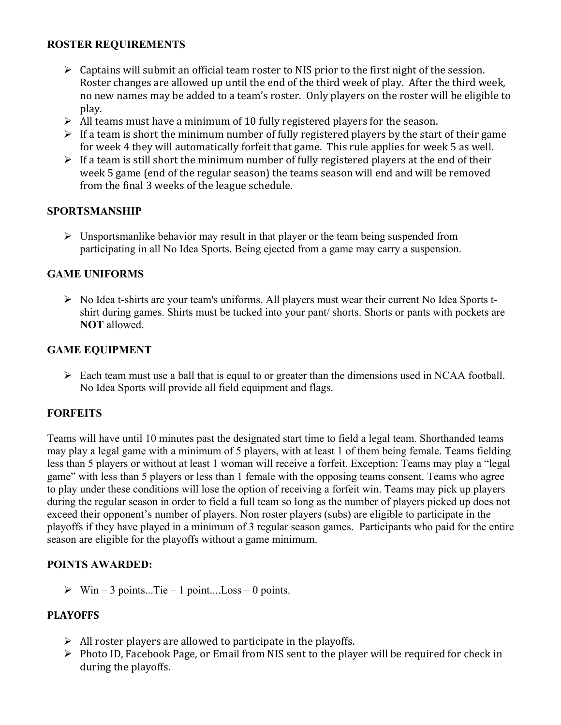#### **ROSTER REQUIREMENTS**

- $\triangleright$  Captains will submit an official team roster to NIS prior to the first night of the session. Roster changes are allowed up until the end of the third week of play. After the third week, no new names may be added to a team's roster. Only players on the roster will be eligible to play.
- $\triangleright$  All teams must have a minimum of 10 fully registered players for the season.
- $\triangleright$  If a team is short the minimum number of fully registered players by the start of their game for week 4 they will automatically forfeit that game. This rule applies for week 5 as well.
- $\triangleright$  If a team is still short the minimum number of fully registered players at the end of their week 5 game (end of the regular season) the teams season will end and will be removed from the final 3 weeks of the league schedule.

## **SPORTSMANSHIP**

 $\triangleright$  Unsportsmanlike behavior may result in that player or the team being suspended from participating in all No Idea Sports. Being ejected from a game may carry a suspension.

## **GAME UNIFORMS**

 $\triangleright$  No Idea t-shirts are your team's uniforms. All players must wear their current No Idea Sports tshirt during games. Shirts must be tucked into your pant/ shorts. Shorts or pants with pockets are **NOT** allowed.

## **GAME EQUIPMENT**

 $\triangleright$  Each team must use a ball that is equal to or greater than the dimensions used in NCAA football. No Idea Sports will provide all field equipment and flags.

#### **FORFEITS**

Teams will have until 10 minutes past the designated start time to field a legal team. Shorthanded teams may play a legal game with a minimum of 5 players, with at least 1 of them being female. Teams fielding less than 5 players or without at least 1 woman will receive a forfeit. Exception: Teams may play a "legal game" with less than 5 players or less than 1 female with the opposing teams consent. Teams who agree to play under these conditions will lose the option of receiving a forfeit win. Teams may pick up players during the regular season in order to field a full team so long as the number of players picked up does not exceed their opponent's number of players. Non roster players (subs) are eligible to participate in the playoffs if they have played in a minimum of 3 regular season games. Participants who paid for the entire season are eligible for the playoffs without a game minimum.

#### **POINTS AWARDED:**

 $\triangleright$  Win – 3 points...Tie – 1 point....Loss – 0 points.

#### **PLAYOFFS**

- $\triangleright$  All roster players are allowed to participate in the playoffs.
- $\triangleright$  Photo ID, Facebook Page, or Email from NIS sent to the player will be required for check in during the playoffs.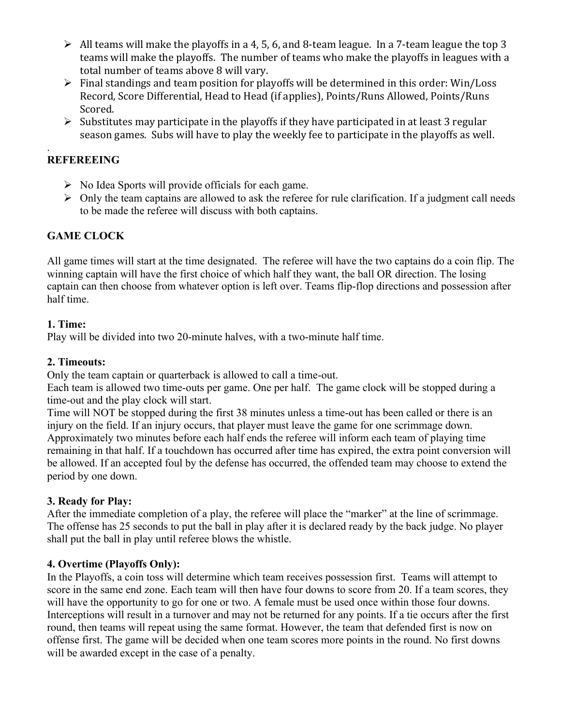- $\triangleright$  All teams will make the playoffs in a 4, 5, 6, and 8-team league. In a 7-team league the top 3 teams will make the playoffs. The number of teams who make the playoffs in leagues with a total number of teams above 8 will vary.
- $\triangleright$  Final standings and team position for playoffs will be determined in this order: Win/Loss Record, Score Differential, Head to Head (if applies), Points/Runs Allowed, Points/Runs Scored.
- $\triangleright$  Substitutes may participate in the playoffs if they have participated in at least 3 regular season games. Subs will have to play the weekly fee to participate in the playoffs as well.

#### . **REFEREEING**

- $\triangleright$  No Idea Sports will provide officials for each game.
- $\triangleright$  Only the team captains are allowed to ask the referee for rule clarification. If a judgment call needs to be made the referee will discuss with both captains.

# **GAME CLOCK**

All game times will start at the time designated. The referee will have the two captains do a coin flip. The winning captain will have the first choice of which half they want, the ball OR direction. The losing captain can then choose from whatever option is left over. Teams flip-flop directions and possession after half time.

#### **1. Time:**

Play will be divided into two 20-minute halves, with a two-minute half time.

## **2. Timeouts:**

Only the team captain or quarterback is allowed to call a time-out.

Each team is allowed two time-outs per game. One per half. The game clock will be stopped during a time-out and the play clock will start.

Time will NOT be stopped during the first 38 minutes unless a time-out has been called or there is an injury on the field. If an injury occurs, that player must leave the game for one scrimmage down. Approximately two minutes before each half ends the referee will inform each team of playing time remaining in that half. If a touchdown has occurred after time has expired, the extra point conversion will be allowed. If an accepted foul by the defense has occurred, the offended team may choose to extend the period by one down.

# **3. Ready for Play:**

After the immediate completion of a play, the referee will place the "marker" at the line of scrimmage. The offense has 25 seconds to put the ball in play after it is declared ready by the back judge. No player shall put the ball in play until referee blows the whistle.

# **4. Overtime (Playoffs Only):**

In the Playoffs, a coin toss will determine which team receives possession first. Teams will attempt to score in the same end zone. Each team will then have four downs to score from 20. If a team scores, they will have the opportunity to go for one or two. A female must be used once within those four downs. Interceptions will result in a turnover and may not be returned for any points. If a tie occurs after the first round, then teams will repeat using the same format. However, the team that defended first is now on offense first. The game will be decided when one team scores more points in the round. No first downs will be awarded except in the case of a penalty.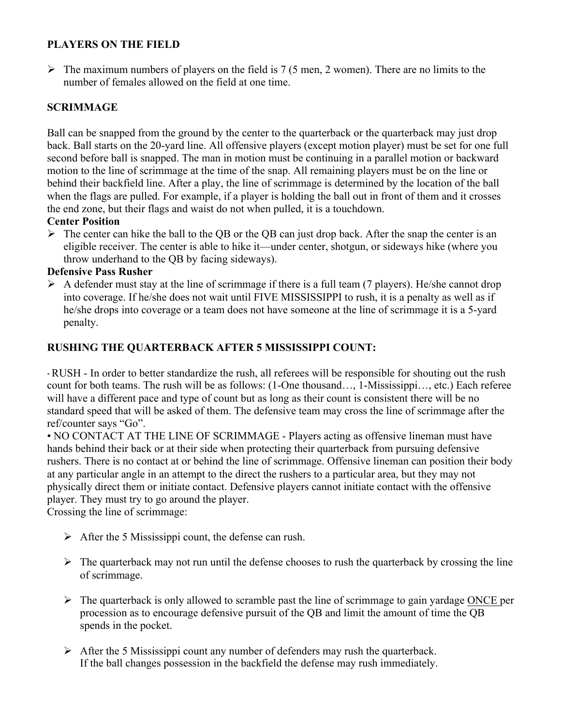## **PLAYERS ON THE FIELD**

 $\triangleright$  The maximum numbers of players on the field is 7 (5 men, 2 women). There are no limits to the number of females allowed on the field at one time.

# **SCRIMMAGE**

Ball can be snapped from the ground by the center to the quarterback or the quarterback may just drop back. Ball starts on the 20-yard line. All offensive players (except motion player) must be set for one full second before ball is snapped. The man in motion must be continuing in a parallel motion or backward motion to the line of scrimmage at the time of the snap. All remaining players must be on the line or behind their backfield line. After a play, the line of scrimmage is determined by the location of the ball when the flags are pulled. For example, if a player is holding the ball out in front of them and it crosses the end zone, but their flags and waist do not when pulled, it is a touchdown.

#### **Center Position**

 $\triangleright$  The center can hike the ball to the QB or the QB can just drop back. After the snap the center is an eligible receiver. The center is able to hike it—under center, shotgun, or sideways hike (where you throw underhand to the QB by facing sideways).

#### **Defensive Pass Rusher**

 $\triangleright$  A defender must stay at the line of scrimmage if there is a full team (7 players). He/she cannot drop into coverage. If he/she does not wait until FIVE MISSISSIPPI to rush, it is a penalty as well as if he/she drops into coverage or a team does not have someone at the line of scrimmage it is a 5-yard penalty.

#### **RUSHING THE QUARTERBACK AFTER 5 MISSISSIPPI COUNT:**

• RUSH - In order to better standardize the rush, all referees will be responsible for shouting out the rush count for both teams. The rush will be as follows: (1-One thousand…, 1-Mississippi…, etc.) Each referee will have a different pace and type of count but as long as their count is consistent there will be no standard speed that will be asked of them. The defensive team may cross the line of scrimmage after the ref/counter says "Go".

• NO CONTACT AT THE LINE OF SCRIMMAGE - Players acting as offensive lineman must have hands behind their back or at their side when protecting their quarterback from pursuing defensive rushers. There is no contact at or behind the line of scrimmage. Offensive lineman can position their body at any particular angle in an attempt to the direct the rushers to a particular area, but they may not physically direct them or initiate contact. Defensive players cannot initiate contact with the offensive player. They must try to go around the player.

Crossing the line of scrimmage:

- $\triangleright$  After the 5 Mississippi count, the defense can rush.
- $\triangleright$  The quarterback may not run until the defense chooses to rush the quarterback by crossing the line of scrimmage.
- $\triangleright$  The quarterback is only allowed to scramble past the line of scrimmage to gain yardage ONCE per procession as to encourage defensive pursuit of the QB and limit the amount of time the QB spends in the pocket.
- $\triangleright$  After the 5 Mississippi count any number of defenders may rush the quarterback. If the ball changes possession in the backfield the defense may rush immediately.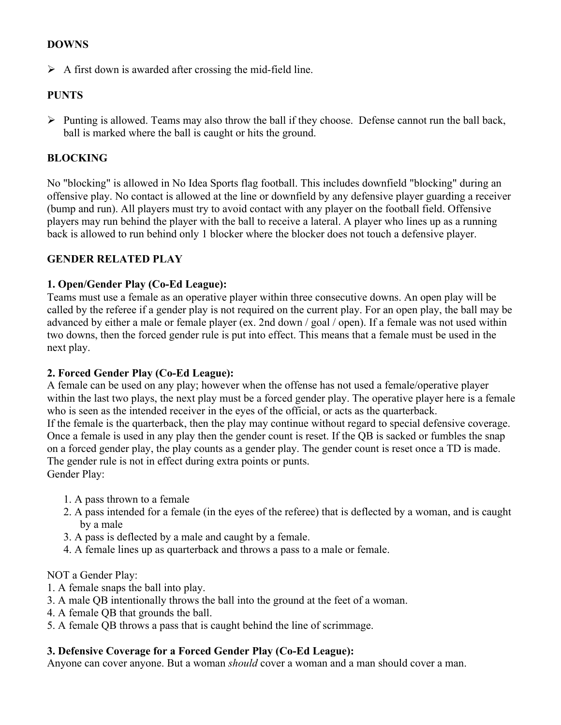#### **DOWNS**

 $\triangleright$  A first down is awarded after crossing the mid-field line.

#### **PUNTS**

 $\triangleright$  Punting is allowed. Teams may also throw the ball if they choose. Defense cannot run the ball back, ball is marked where the ball is caught or hits the ground.

#### **BLOCKING**

No "blocking" is allowed in No Idea Sports flag football. This includes downfield "blocking" during an offensive play. No contact is allowed at the line or downfield by any defensive player guarding a receiver (bump and run). All players must try to avoid contact with any player on the football field. Offensive players may run behind the player with the ball to receive a lateral. A player who lines up as a running back is allowed to run behind only 1 blocker where the blocker does not touch a defensive player.

#### **GENDER RELATED PLAY**

#### **1. Open/Gender Play (Co-Ed League):**

Teams must use a female as an operative player within three consecutive downs. An open play will be called by the referee if a gender play is not required on the current play. For an open play, the ball may be advanced by either a male or female player (ex. 2nd down / goal / open). If a female was not used within two downs, then the forced gender rule is put into effect. This means that a female must be used in the next play.

#### **2. Forced Gender Play (Co-Ed League):**

A female can be used on any play; however when the offense has not used a female/operative player within the last two plays, the next play must be a forced gender play. The operative player here is a female who is seen as the intended receiver in the eyes of the official, or acts as the quarterback. If the female is the quarterback, then the play may continue without regard to special defensive coverage. Once a female is used in any play then the gender count is reset. If the QB is sacked or fumbles the snap on a forced gender play, the play counts as a gender play. The gender count is reset once a TD is made. The gender rule is not in effect during extra points or punts.

Gender Play:

- 1. A pass thrown to a female
- 2. A pass intended for a female (in the eyes of the referee) that is deflected by a woman, and is caught by a male
- 3. A pass is deflected by a male and caught by a female.
- 4. A female lines up as quarterback and throws a pass to a male or female.

NOT a Gender Play:

- 1. A female snaps the ball into play.
- 3. A male QB intentionally throws the ball into the ground at the feet of a woman.
- 4. A female QB that grounds the ball.
- 5. A female QB throws a pass that is caught behind the line of scrimmage.

#### **3. Defensive Coverage for a Forced Gender Play (Co-Ed League):**

Anyone can cover anyone. But a woman *should* cover a woman and a man should cover a man.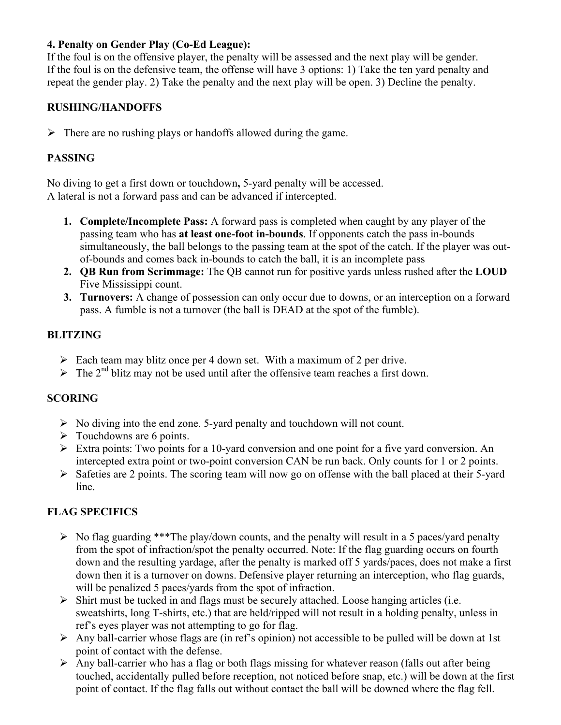## **4. Penalty on Gender Play (Co-Ed League):**

If the foul is on the offensive player, the penalty will be assessed and the next play will be gender. If the foul is on the defensive team, the offense will have 3 options: 1) Take the ten yard penalty and repeat the gender play. 2) Take the penalty and the next play will be open. 3) Decline the penalty.

#### **RUSHING/HANDOFFS**

 $\triangleright$  There are no rushing plays or handoffs allowed during the game.

## **PASSING**

No diving to get a first down or touchdown**,** 5-yard penalty will be accessed. A lateral is not a forward pass and can be advanced if intercepted.

- **1. Complete/Incomplete Pass:** A forward pass is completed when caught by any player of the passing team who has **at least one-foot in-bounds**. If opponents catch the pass in-bounds simultaneously, the ball belongs to the passing team at the spot of the catch. If the player was outof-bounds and comes back in-bounds to catch the ball, it is an incomplete pass
- **2. QB Run from Scrimmage:** The QB cannot run for positive yards unless rushed after the **LOUD**  Five Mississippi count.
- **3. Turnovers:** A change of possession can only occur due to downs, or an interception on a forward pass. A fumble is not a turnover (the ball is DEAD at the spot of the fumble).

## **BLITZING**

- $\triangleright$  Each team may blitz once per 4 down set. With a maximum of 2 per drive.
- $\triangleright$  The 2<sup>nd</sup> blitz may not be used until after the offensive team reaches a first down.

# **SCORING**

- $\triangleright$  No diving into the end zone. 5-yard penalty and touchdown will not count.
- $\triangleright$  Touchdowns are 6 points.
- $\triangleright$  Extra points: Two points for a 10-yard conversion and one point for a five yard conversion. An intercepted extra point or two-point conversion CAN be run back. Only counts for 1 or 2 points.
- $\triangleright$  Safeties are 2 points. The scoring team will now go on offense with the ball placed at their 5-yard line.

# **FLAG SPECIFICS**

- $\triangleright$  No flag guarding \*\*\*The play/down counts, and the penalty will result in a 5 paces/yard penalty from the spot of infraction/spot the penalty occurred. Note: If the flag guarding occurs on fourth down and the resulting yardage, after the penalty is marked off 5 yards/paces, does not make a first down then it is a turnover on downs. Defensive player returning an interception, who flag guards, will be penalized 5 paces/yards from the spot of infraction.
- $\triangleright$  Shirt must be tucked in and flags must be securely attached. Loose hanging articles (i.e. sweatshirts, long T-shirts, etc.) that are held/ripped will not result in a holding penalty, unless in ref's eyes player was not attempting to go for flag.
- $\triangleright$  Any ball-carrier whose flags are (in ref's opinion) not accessible to be pulled will be down at 1st point of contact with the defense.
- $\triangleright$  Any ball-carrier who has a flag or both flags missing for whatever reason (falls out after being touched, accidentally pulled before reception, not noticed before snap, etc.) will be down at the first point of contact. If the flag falls out without contact the ball will be downed where the flag fell.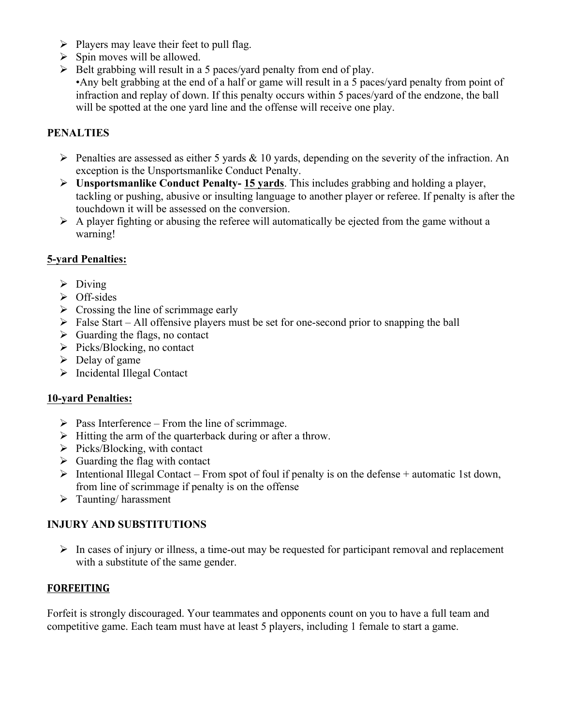- $\triangleright$  Players may leave their feet to pull flag.
- $\triangleright$  Spin moves will be allowed.
- $\triangleright$  Belt grabbing will result in a 5 paces/yard penalty from end of play. •Any belt grabbing at the end of a half or game will result in a 5 paces/yard penalty from point of infraction and replay of down. If this penalty occurs within 5 paces/yard of the endzone, the ball will be spotted at the one yard line and the offense will receive one play.

# **PENALTIES**

- $\triangleright$  Penalties are assessed as either 5 yards & 10 yards, depending on the severity of the infraction. An exception is the Unsportsmanlike Conduct Penalty.
- Ø **Unsportsmanlike Conduct Penalty- 15 yards**. This includes grabbing and holding a player, tackling or pushing, abusive or insulting language to another player or referee. If penalty is after the touchdown it will be assessed on the conversion.
- $\triangleright$  A player fighting or abusing the referee will automatically be ejected from the game without a warning!

#### **5-yard Penalties:**

- $\triangleright$  Diving
- $\triangleright$  Off-sides
- $\triangleright$  Crossing the line of scrimmage early
- $\triangleright$  False Start All offensive players must be set for one-second prior to snapping the ball
- $\triangleright$  Guarding the flags, no contact
- $\triangleright$  Picks/Blocking, no contact
- $\triangleright$  Delay of game
- Ø Incidental Illegal Contact

#### **10-yard Penalties:**

- $\triangleright$  Pass Interference From the line of scrimmage.
- $\triangleright$  Hitting the arm of the quarterback during or after a throw.
- $\triangleright$  Picks/Blocking, with contact
- $\triangleright$  Guarding the flag with contact
- $\triangleright$  Intentional Illegal Contact From spot of foul if penalty is on the defense + automatic 1st down, from line of scrimmage if penalty is on the offense
- $\triangleright$  Taunting/harassment

#### **INJURY AND SUBSTITUTIONS**

 $\triangleright$  In cases of injury or illness, a time-out may be requested for participant removal and replacement with a substitute of the same gender.

#### **FORFEITING**

Forfeit is strongly discouraged. Your teammates and opponents count on you to have a full team and competitive game. Each team must have at least 5 players, including 1 female to start a game.